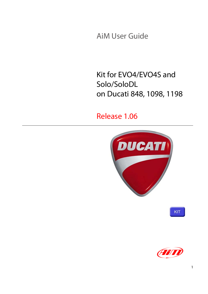AiM User Guide

## Kit for EVO4/EVO4S and Solo/SoloDL on Ducati 848, 1098, 1198

### Release 1.06



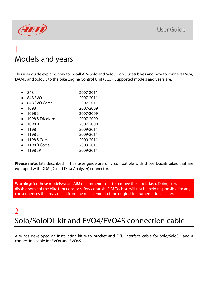

## 1 Models and years

This user guide explains how to install AiM Solo and SoloDL on Ducati bikes and how to connect EVO4, EVO4S and SoloDL to the bike Engine Control Unit (ECU). Supported models and years are:

| 848              | 2007-2011 |
|------------------|-----------|
| 848 EVO          | 2007-2011 |
| 848 EVO Corse    | 2007-2011 |
| 1098             | 2007-2009 |
| 1098 S           | 2007-2009 |
| 1098 S Tricolore | 2007-2009 |
| 1098 R           | 2007-2009 |
| 1198             | 2009-2011 |
| 1198 S           | 2009-2011 |
| 1198 S Corse     | 2009-2011 |
| 1198 R Corse     | 2009-2011 |
| 1198 SP          | 2009-2011 |

**Please note**: kits described in this user guide are only compatible with those Ducati bikes that are equipped with DDA (Ducati Data Analyzer) connector.

**Warning**: for these models/years AiM recommends not to remove the stock dash. Doing so will disable some of the bike functions or safety controls. AiM Tech srl will not be held responsible for any consequences that may result from the replacement of the original instrumentation cluster.

## 2 Solo/SoloDL kit and EVO4/EVO4S connection cable

AiM has developed an installation kit with bracket and ECU interface cable for Solo/SoloDL and a connection cable for EVO4 and EVO4S.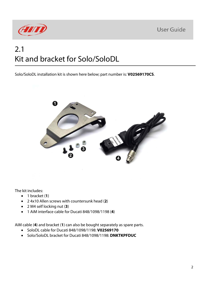

## 2.1 Kit and bracket for Solo/SoloDL

Solo/SoloDL installation kit is shown here below; part number is: **V02569170CS**.



The kit includes:

- 1 bracket (**1**)
- 2 4x10 Allen screws with countersunk head (**2**)
- 2 M4 self locking nut (**3**)
- 1 AiM interface cable for Ducati 848/1098/1198 (**4**)

AiM cable (**4**) and bracket (**1**) can also be bought separately as spare parts.

- SoloDL cable for Ducati 848/1098/1198: **V02569170**
- Solo/SoloDL bracket for Ducati 848/1098/1198: **DNKTKPFDUC**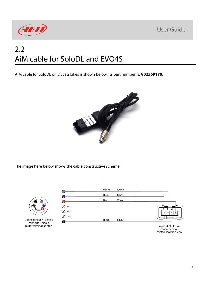

## 2.2 AiM cable for SoloDL and EVO4S

AiM cable for SoloDL on Ducati bikes is shown below; its part number is: **V02569170**.



The image here below shows the cable constructive scheme



7 pins Binder 712 male connector Pinout<br>solder termination view



4 pins FCI 4 male connetor pinout contact insertion view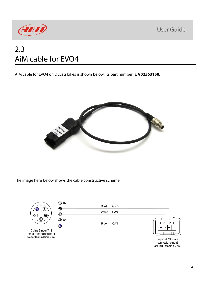

## 2.3 AiM cable for EVO4

AiM cable for EVO4 on Ducati bikes is shown below; its part number is: **V02563150**.



The image here below shows the cable constructive scheme

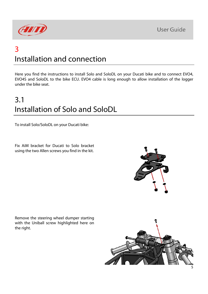

## 3 Installation and connection

Here you find the instructions to install Solo and SoloDL on your Ducati bike and to connect EVO4, EVO4S and SoloDL to the bike ECU. EVO4 cable is long enough to allow installation of the logger under the bike seat.

# 3.1 Installation of Solo and SoloDL

To install Solo/SoloDL on your Ducati bike:

Fix AiM bracket for Ducati to Solo bracket using the two Allen screws you find in the kit.

Remove the steering wheel dumper starting with the Uniball screw highlighted here on the right.

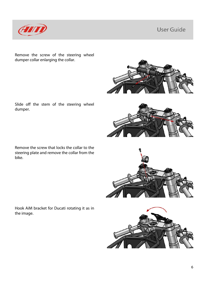

dumper.

bike.

Remove the screw of the steering wheel dumper collar enlarging the collar.

Slide off the stem of the steering wheel

Remove the screw that locks the collar to the steering plate and remove the collar from the







Hook AiM bracket for Ducati rotating it as in the image.



6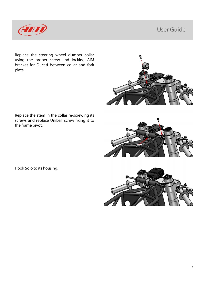

Replace the steering wheel dumper collar using the proper screw and locking AiM bracket for Ducati between collar and fork plate.



Replace the stem in the collar re-screwing its screws and replace Uniball screw fixing it to the frame pivot.



Hook Solo to its housing.

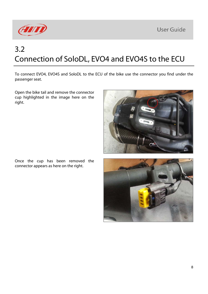

# 3.2 Connection of SoloDL, EVO4 and EVO4S to the ECU

To connect EVO4, EVO4S and SoloDL to the ECU of the bike use the connector you find under the passenger seat.

Open the bike tail and remove the connector cup highlighted in the image here on the right.



Once the cup has been removed the connector appears as here on the right.

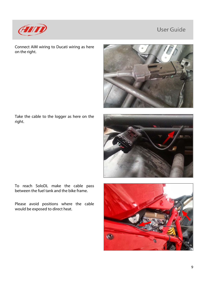

Connect AiM wiring to Ducati wiring as here on the right.



Take the cable to the logger as here on the right.



To reach SoloDL make the cable pass between the fuel tank and the bike frame.

Please avoid positions where the cable would be exposed to direct heat.

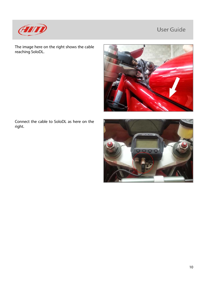

The image here on the right shows the cable reaching SoloDL.



Connect the cable to SoloDL as here on the right.

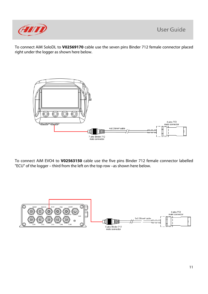

To connect AiM SoloDL to **V02569170** cable use the seven pins Binder 712 female connector placed right under the logger as shown here below.



To connect AiM EVO4 to **V02563150** cable use the five pins Binder 712 female connector labelled "ECU" of the logger – third from the left on the top row –as shown here below.

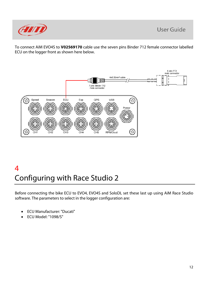

To connect AiM EVO4S to **V02569170** cable use the seven pins Binder 712 female connector labelled ECU on the logger front as shown here below.



# 4 Configuring with Race Studio 2

Before connecting the bike ECU to EVO4, EVO4S and SoloDL set these last up using AiM Race Studio software. The parameters to select in the logger configuration are:

- ECU Manufacturer: "Ducati"
- ECU Model: "1098/S"